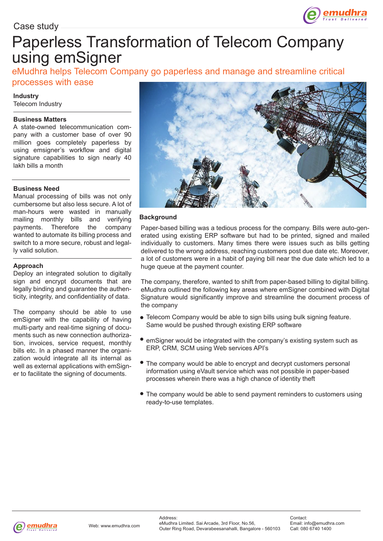

# Paperless Transformation of Telecom Company using emSigner

eMudhra helps Telecom Company go paperless and manage and streamline critical

## processes with ease

### **Industry**

Telecom Industry

#### **Business Matters**

A state-owned telecommunication company with a customer base of over 90 million goes completely paperless by using emsigner's workflow and digital signature capabilities to sign nearly 40 lakh bills a month

#### **Business Need**

Manual processing of bills was not only cumbersome but also less secure. A lot of man-hours were wasted in manually mailing monthly bills and verifying payments. Therefore the company wanted to automate its billing process and switch to a more secure, robust and legally valid solution.

#### **Approach**

Deploy an integrated solution to digitally sign and encrypt documents that are legally binding and guarantee the authenticity, integrity, and confidentiality of data.

The company should be able to use emSigner with the capability of having multi-party and real-time signing of documents such as new connection authorization, invoices, service request, monthly bills etc. In a phased manner the organization would integrate all its internal as well as external applications with emSigner to facilitate the signing of documents.



#### **Background**

Paper-based billing was a tedious process for the company. Bills were auto-generated using existing ERP software but had to be printed, signed and mailed individually to customers. Many times there were issues such as bills getting delivered to the wrong address, reaching customers post due date etc. Moreover, a lot of customers were in a habit of paying bill near the due date which led to a huge queue at the payment counter.

The company, therefore, wanted to shift from paper-based billing to digital billing. eMudhra outlined the following key areas where emSigner combined with Digital Signature would significantly improve and streamline the document process of the company

- Telecom Company would be able to sign bills using bulk signing feature. Same would be pushed through existing ERP software
- emSigner would be integrated with the company's existing system such as ERP, CRM, SCM using Web services API's
- The company would be able to encrypt and decrypt customers personal information using eVault service which was not possible in paper-based processes wherein there was a high chance of identity theft
- The company would be able to send payment reminders to customers using ready-to-use templates.

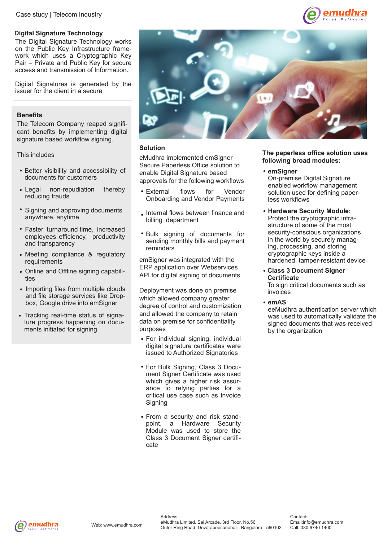#### **Digital Signature Technology**

The Digital Signature Technology works on the Public Key Infrastructure framework which uses a Cryptographic Key Pair – Private and Public Key for secure access and transmission of Information.

Digital Signatures is generated by the issuer for the client in a secure

#### **Benefits**

The Telecom Company reaped significant benefits by implementing digital signature based workflow signing.

This includes

- Better visibility and accessibility of documents for customers
- Legal non-repudiation thereby reducing frauds
- Signing and approving documents anywhere, anytime
- Faster turnaround time, increased employees efficiency, productivity and transparency
- Meeting compliance & regulatory requirements
- Online and Offline signing capabilities
- Importing files from multiple clouds and file storage services like Dropbox, Google drive into emSigner
- Tracking real-time status of signature progress happening on documents initiated for signing



#### **Solution**

eMudhra implemented emSigner – Secure Paperless Office solution to enable Digital Signature based approvals for the following workflows

- External flows for Vendor Onboarding and Vendor Payments
- . Internal flows between finance and billing department
- Bulk signing of documents for sending monthly bills and payment reminders

emSigner was integrated with the ERP application over Webservices API for digital signing of documents

Deployment was done on premise which allowed company greater degree of control and customization and allowed the company to retain data on premise for confidentiality purposes

- For individual signing, individual digital signature certificates were issued to Authorized Signatories
- For Bulk Signing, Class 3 Document Signer Certificate was used which gives a higher risk assurance to relying parties for a critical use case such as Invoice Signing
- From a security and risk standpoint, a Hardware Security Module was used to store the Class 3 Document Signer certificate

#### **The paperless office solution uses following broad modules:**

mudhra

**emSigner**

On-premise Digital Signature enabled workflow management solution used for defining paperless workflows

- **Hardware Security Module:** Protect the cryptographic infrastructure of some of the most security-conscious organizations in the world by securely managing, processing, and storing cryptographic keys inside a hardened, tamper-resistant device
- **Class 3 Document Signer Certificate**

To sign critical documents such as invoices

#### **emAS**

eeMudhra authentication server which was used to automatically validate the signed documents that was received by the organization